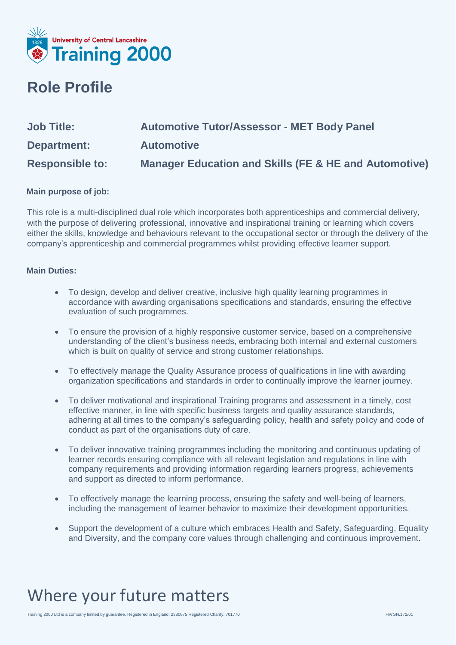

#### **Role Profile**

| <b>Job Title:</b>      | <b>Automotive Tutor/Assessor - MET Body Panel</b>                |
|------------------------|------------------------------------------------------------------|
| Department:            | <b>Automotive</b>                                                |
| <b>Responsible to:</b> | <b>Manager Education and Skills (FE &amp; HE and Automotive)</b> |

#### **Main purpose of job:**

This role is a multi-disciplined dual role which incorporates both apprenticeships and commercial delivery, with the purpose of delivering professional, innovative and inspirational training or learning which covers either the skills, knowledge and behaviours relevant to the occupational sector or through the delivery of the company's apprenticeship and commercial programmes whilst providing effective learner support.

#### **Main Duties:**

- To design, develop and deliver creative, inclusive high quality learning programmes in accordance with awarding organisations specifications and standards, ensuring the effective evaluation of such programmes.
- To ensure the provision of a highly responsive customer service, based on a comprehensive understanding of the client's business needs, embracing both internal and external customers which is built on quality of service and strong customer relationships.
- To effectively manage the Quality Assurance process of qualifications in line with awarding organization specifications and standards in order to continually improve the learner journey.
- To deliver motivational and inspirational Training programs and assessment in a timely, cost effective manner, in line with specific business targets and quality assurance standards, adhering at all times to the company's safeguarding policy, health and safety policy and code of conduct as part of the organisations duty of care.
- To deliver innovative training programmes including the monitoring and continuous updating of learner records ensuring compliance with all relevant legislation and regulations in line with company requirements and providing information regarding learners progress, achievements and support as directed to inform performance.
- To effectively manage the learning process, ensuring the safety and well-being of learners, including the management of learner behavior to maximize their development opportunities.
- Support the development of a culture which embraces Health and Safety, Safeguarding, Equality and Diversity, and the company core values through challenging and continuous improvement.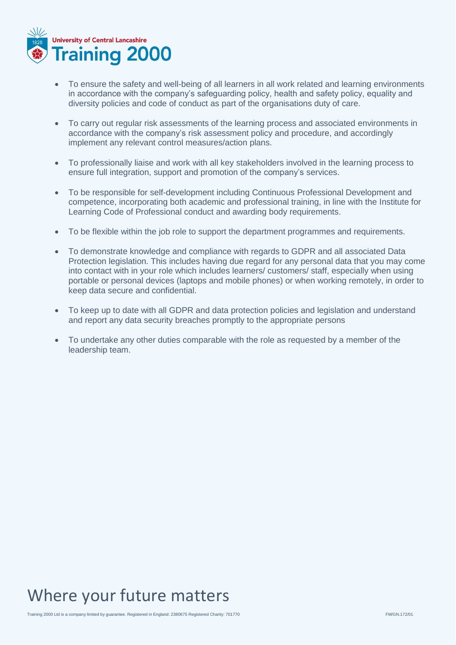

- To ensure the safety and well-being of all learners in all work related and learning environments in accordance with the company's safeguarding policy, health and safety policy, equality and diversity policies and code of conduct as part of the organisations duty of care.
- To carry out regular risk assessments of the learning process and associated environments in accordance with the company's risk assessment policy and procedure, and accordingly implement any relevant control measures/action plans.
- To professionally liaise and work with all key stakeholders involved in the learning process to ensure full integration, support and promotion of the company's services.
- To be responsible for self-development including Continuous Professional Development and competence, incorporating both academic and professional training, in line with the Institute for Learning Code of Professional conduct and awarding body requirements.
- To be flexible within the job role to support the department programmes and requirements.
- To demonstrate knowledge and compliance with regards to GDPR and all associated Data Protection legislation. This includes having due regard for any personal data that you may come into contact with in your role which includes learners/ customers/ staff, especially when using portable or personal devices (laptops and mobile phones) or when working remotely, in order to keep data secure and confidential.
- To keep up to date with all GDPR and data protection policies and legislation and understand and report any data security breaches promptly to the appropriate persons
- To undertake any other duties comparable with the role as requested by a member of the leadership team.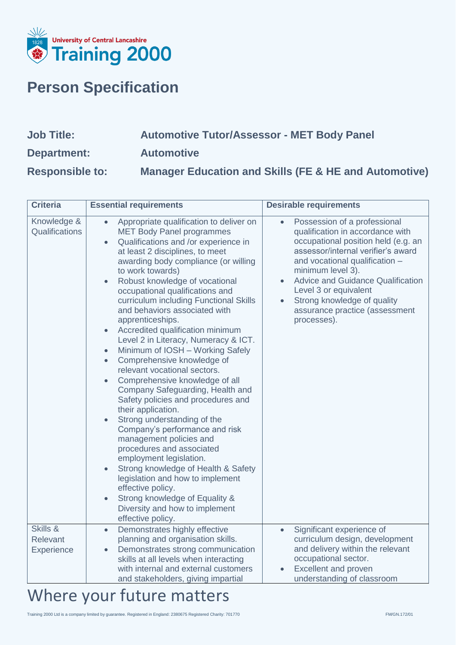

### **Person Specification**

| <b>Job Title:</b>      | <b>Automotive Tutor/Assessor - MET Body Panel</b>                |
|------------------------|------------------------------------------------------------------|
| Department:            | <b>Automotive</b>                                                |
| <b>Responsible to:</b> | <b>Manager Education and Skills (FE &amp; HE and Automotive)</b> |

| <b>Criteria</b>                    | <b>Essential requirements</b>                                                                                                                                                                                                                                                                                                                                                                                                                                                                                                                                                                                                                                                                                                                                                                                                                                                                                                                                                                                                                                                                                                                                                         | <b>Desirable requirements</b>                                                                                                                                                                                                                                                                                                                                          |
|------------------------------------|---------------------------------------------------------------------------------------------------------------------------------------------------------------------------------------------------------------------------------------------------------------------------------------------------------------------------------------------------------------------------------------------------------------------------------------------------------------------------------------------------------------------------------------------------------------------------------------------------------------------------------------------------------------------------------------------------------------------------------------------------------------------------------------------------------------------------------------------------------------------------------------------------------------------------------------------------------------------------------------------------------------------------------------------------------------------------------------------------------------------------------------------------------------------------------------|------------------------------------------------------------------------------------------------------------------------------------------------------------------------------------------------------------------------------------------------------------------------------------------------------------------------------------------------------------------------|
| Knowledge &<br>Qualifications      | Appropriate qualification to deliver on<br>$\bullet$<br><b>MET Body Panel programmes</b><br>Qualifications and /or experience in<br>$\bullet$<br>at least 2 disciplines, to meet<br>awarding body compliance (or willing<br>to work towards)<br>Robust knowledge of vocational<br>$\bullet$<br>occupational qualifications and<br>curriculum including Functional Skills<br>and behaviors associated with<br>apprenticeships.<br>Accredited qualification minimum<br>$\bullet$<br>Level 2 in Literacy, Numeracy & ICT.<br>Minimum of IOSH - Working Safely<br>$\bullet$<br>Comprehensive knowledge of<br>$\bullet$<br>relevant vocational sectors.<br>Comprehensive knowledge of all<br>$\bullet$<br>Company Safeguarding, Health and<br>Safety policies and procedures and<br>their application.<br>Strong understanding of the<br>$\bullet$<br>Company's performance and risk<br>management policies and<br>procedures and associated<br>employment legislation.<br>Strong knowledge of Health & Safety<br>$\bullet$<br>legislation and how to implement<br>effective policy.<br>Strong knowledge of Equality &<br>$\bullet$<br>Diversity and how to implement<br>effective policy. | Possession of a professional<br>$\bullet$<br>qualification in accordance with<br>occupational position held (e.g. an<br>assessor/internal verifier's award<br>and vocational qualification -<br>minimum level 3).<br><b>Advice and Guidance Qualification</b><br>Level 3 or equivalent<br>Strong knowledge of quality<br>assurance practice (assessment<br>processes). |
| Skills &<br>Relevant<br>Experience | Demonstrates highly effective<br>$\bullet$<br>planning and organisation skills.<br>Demonstrates strong communication<br>$\bullet$<br>skills at all levels when interacting<br>with internal and external customers<br>and stakeholders, giving impartial                                                                                                                                                                                                                                                                                                                                                                                                                                                                                                                                                                                                                                                                                                                                                                                                                                                                                                                              | Significant experience of<br>curriculum design, development<br>and delivery within the relevant<br>occupational sector.<br><b>Excellent and proven</b><br>understanding of classroom                                                                                                                                                                                   |